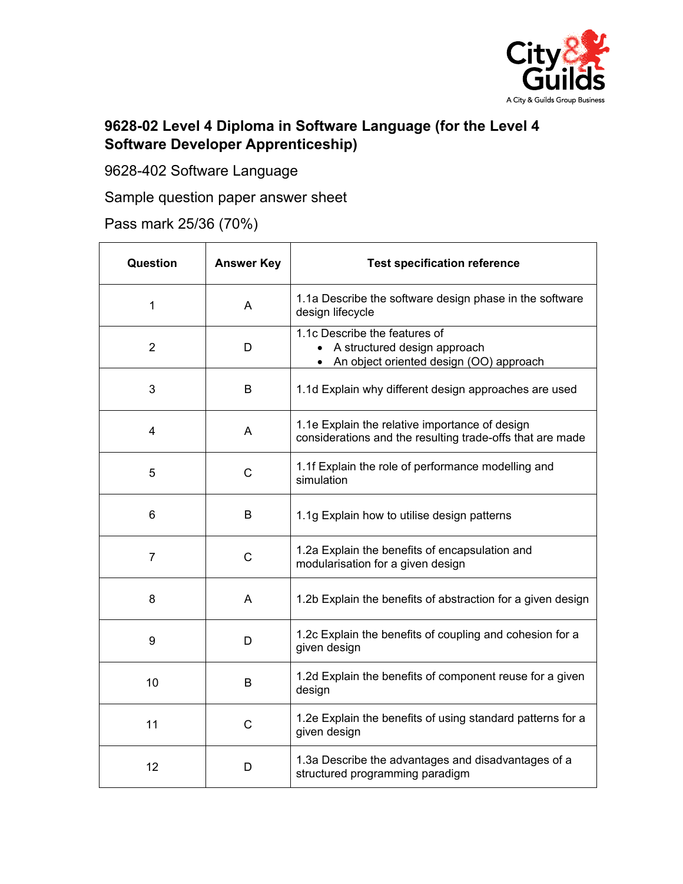

## **9628-02 Level 4 Diploma in Software Language (for the Level 4 Software Developer Apprenticeship)**

9628-402 Software Language

Sample question paper answer sheet

Pass mark 25/36 (70%)

| Question       | <b>Answer Key</b> | <b>Test specification reference</b>                                                                         |
|----------------|-------------------|-------------------------------------------------------------------------------------------------------------|
| 1              | A                 | 1.1a Describe the software design phase in the software<br>design lifecycle                                 |
| $\overline{2}$ | D                 | 1.1c Describe the features of<br>• A structured design approach<br>An object oriented design (OO) approach  |
| 3              | B                 | 1.1d Explain why different design approaches are used                                                       |
| 4              | A                 | 1.1e Explain the relative importance of design<br>considerations and the resulting trade-offs that are made |
| 5              | $\mathsf{C}$      | 1.1f Explain the role of performance modelling and<br>simulation                                            |
| 6              | B                 | 1.1g Explain how to utilise design patterns                                                                 |
| $\overline{7}$ | $\mathsf{C}$      | 1.2a Explain the benefits of encapsulation and<br>modularisation for a given design                         |
| 8              | A                 | 1.2b Explain the benefits of abstraction for a given design                                                 |
| 9              | D                 | 1.2c Explain the benefits of coupling and cohesion for a<br>given design                                    |
| 10             | B                 | 1.2d Explain the benefits of component reuse for a given<br>design                                          |
| 11             | C                 | 1.2e Explain the benefits of using standard patterns for a<br>given design                                  |
| 12             | D                 | 1.3a Describe the advantages and disadvantages of a<br>structured programming paradigm                      |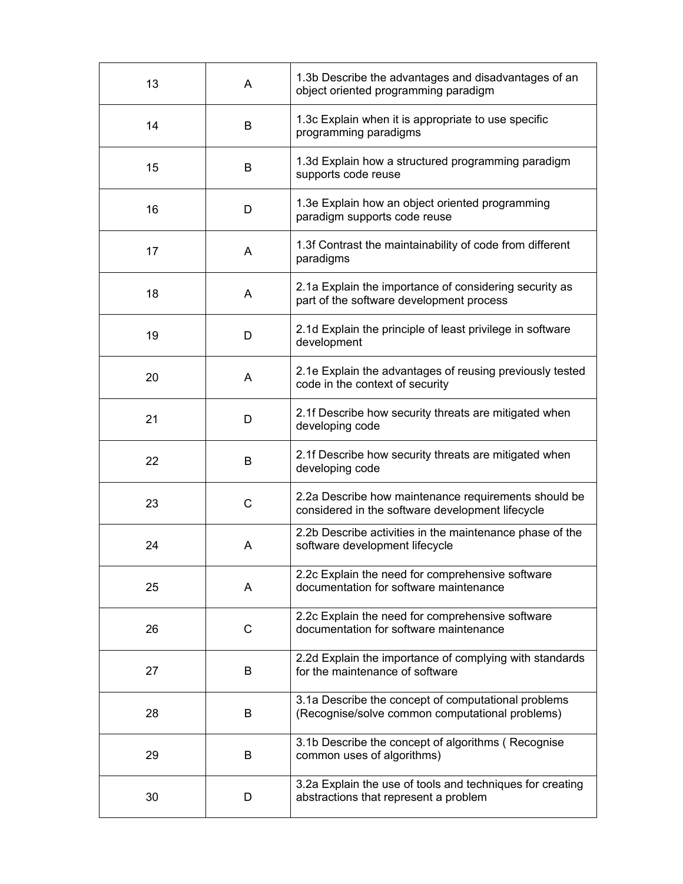| 13 | A | 1.3b Describe the advantages and disadvantages of an<br>object oriented programming paradigm             |
|----|---|----------------------------------------------------------------------------------------------------------|
| 14 | B | 1.3c Explain when it is appropriate to use specific<br>programming paradigms                             |
| 15 | B | 1.3d Explain how a structured programming paradigm<br>supports code reuse                                |
| 16 | D | 1.3e Explain how an object oriented programming<br>paradigm supports code reuse                          |
| 17 | A | 1.3f Contrast the maintainability of code from different<br>paradigms                                    |
| 18 | A | 2.1a Explain the importance of considering security as<br>part of the software development process       |
| 19 | D | 2.1d Explain the principle of least privilege in software<br>development                                 |
| 20 | A | 2.1e Explain the advantages of reusing previously tested<br>code in the context of security              |
| 21 | D | 2.1f Describe how security threats are mitigated when<br>developing code                                 |
| 22 | B | 2.1f Describe how security threats are mitigated when<br>developing code                                 |
| 23 | C | 2.2a Describe how maintenance requirements should be<br>considered in the software development lifecycle |
| 24 | Α | 2.2b Describe activities in the maintenance phase of the<br>software development lifecycle               |
| 25 | A | 2.2c Explain the need for comprehensive software<br>documentation for software maintenance               |
| 26 | C | 2.2c Explain the need for comprehensive software<br>documentation for software maintenance               |
| 27 | B | 2.2d Explain the importance of complying with standards<br>for the maintenance of software               |
| 28 | B | 3.1a Describe the concept of computational problems<br>(Recognise/solve common computational problems)   |
| 29 | B | 3.1b Describe the concept of algorithms (Recognise<br>common uses of algorithms)                         |
| 30 | D | 3.2a Explain the use of tools and techniques for creating<br>abstractions that represent a problem       |